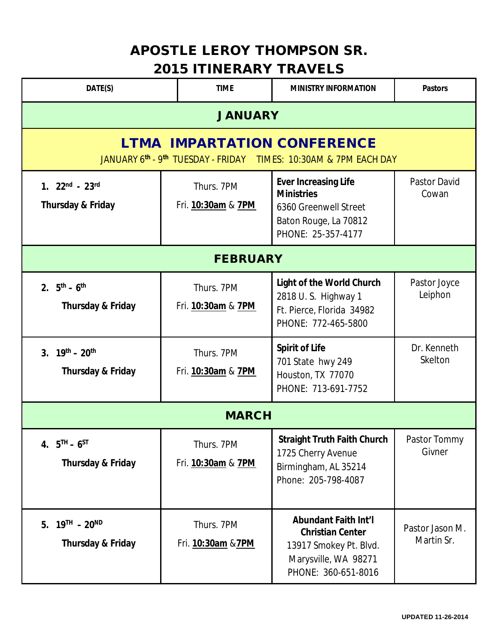## **APOSTLE LEROY THOMPSON SR. 2015 ITINERARY TRAVELS**

| DATE(S)                                                                                                | <b>TIME</b>                      | <b>MINISTRY INFORMATION</b>                                                                                                     | <b>Pastors</b>                |  |  |
|--------------------------------------------------------------------------------------------------------|----------------------------------|---------------------------------------------------------------------------------------------------------------------------------|-------------------------------|--|--|
| <b>JANUARY</b>                                                                                         |                                  |                                                                                                                                 |                               |  |  |
| <b>LTMA IMPARTATION CONFERENCE</b><br>JANUARY 6th - 9th TUESDAY - FRIDAY TIMES: 10:30AM & 7PM EACH DAY |                                  |                                                                                                                                 |                               |  |  |
| $1.22nd - 23rd$<br>Thursday & Friday                                                                   | Thurs. 7PM<br>Fri. 10:30am & 7PM | <b>Ever Increasing Life</b><br><b>Ministries</b><br>6360 Greenwell Street<br>Baton Rouge, La 70812<br>PHONE: 25-357-4177        | <b>Pastor David</b><br>Cowan  |  |  |
| <b>FEBRUARY</b>                                                                                        |                                  |                                                                                                                                 |                               |  |  |
| 2. $5^{th} - 6^{th}$<br><b>Thursday &amp; Friday</b>                                                   | Thurs. 7PM<br>Fri. 10:30am & 7PM | <b>Light of the World Church</b><br>2818 U.S. Highway 1<br>Ft. Pierce, Florida 34982<br>PHONE: 772-465-5800                     | Pastor Joyce<br>Leiphon       |  |  |
| 3. $19^{th} - 20^{th}$<br><b>Thursday &amp; Friday</b>                                                 | Thurs. 7PM<br>Fri. 10:30am & 7PM | <b>Spirit of Life</b><br>701 State hwy 249<br>Houston, TX 77070<br>PHONE: 713-691-7752                                          | Dr. Kenneth<br>Skelton        |  |  |
| <b>MARCH</b>                                                                                           |                                  |                                                                                                                                 |                               |  |  |
| 4. $5^{TH} - 6^{ST}$<br><b>Thursday &amp; Friday</b>                                                   | Thurs. 7PM<br>Fri. 10:30am & 7PM | <b>Straight Truth Faith Church</b><br>1725 Cherry Avenue<br>Birmingham, AL 35214<br>Phone: 205-798-4087                         | Pastor Tommy<br>Givner        |  |  |
| 5. $19^{TH}$ - $20^{ND}$<br><b>Thursday &amp; Friday</b>                                               | Thurs. 7PM<br>Fri. 10:30am & 7PM | <b>Abundant Faith Int'l</b><br><b>Christian Center</b><br>13917 Smokey Pt. Blvd.<br>Marysville, WA 98271<br>PHONE: 360-651-8016 | Pastor Jason M.<br>Martin Sr. |  |  |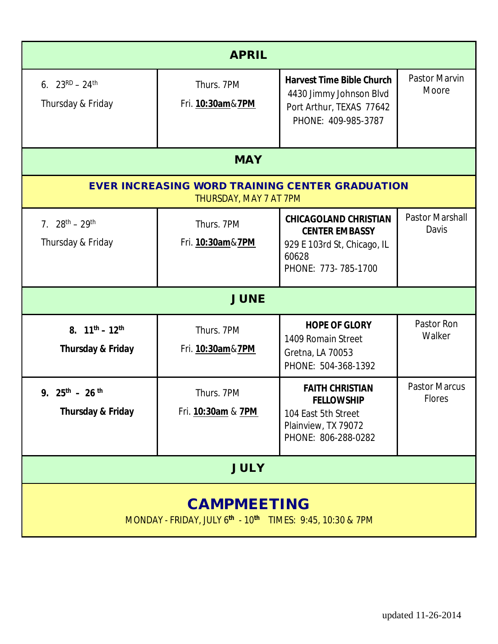| <b>APRIL</b>                                                                     |                                  |                                                                                                                      |                                       |  |  |
|----------------------------------------------------------------------------------|----------------------------------|----------------------------------------------------------------------------------------------------------------------|---------------------------------------|--|--|
| 6. $23^{RD} - 24^{th}$<br>Thursday & Friday                                      | Thurs. 7PM<br>Fri. 10:30am&7PM   | <b>Harvest Time Bible Church</b><br>4430 Jimmy Johnson Blvd<br>Port Arthur, TEXAS 77642<br>PHONE: 409-985-3787       | <b>Pastor Marvin</b><br>Moore         |  |  |
| <b>MAY</b>                                                                       |                                  |                                                                                                                      |                                       |  |  |
| <b>EVER INCREASING WORD TRAINING CENTER GRADUATION</b><br>THURSDAY, MAY 7 AT 7PM |                                  |                                                                                                                      |                                       |  |  |
| 7. $28^{th} - 29^{th}$<br>Thursday & Friday                                      | Thurs. 7PM<br>Fri. 10:30am&7PM   | <b>CHICAGOLAND CHRISTIAN</b><br><b>CENTER EMBASSY</b><br>929 E 103rd St, Chicago, IL<br>60628<br>PHONE: 773-785-1700 | <b>Pastor Marshall</b><br>Davis       |  |  |
| <b>JUNE</b>                                                                      |                                  |                                                                                                                      |                                       |  |  |
| 8. $11^{th} - 12^{th}$<br><b>Thursday &amp; Friday</b>                           | Thurs. 7PM<br>Fri. 10:30am&7PM   | <b>HOPE OF GLORY</b><br>1409 Romain Street<br>Gretna, LA 70053<br>PHONE: 504-368-1392                                | Pastor Ron<br>Walker                  |  |  |
| 9. $25^{th}$ - 26 <sup>th</sup><br>Thursday & Friday                             | Thurs. 7PM<br>Fri. 10:30am & 7PM | <b>FAITH CHRISTIAN</b><br><b>FELLOWSHIP</b><br>104 East 5th Street<br>Plainview, TX 79072<br>PHONE: 806-288-0282     | <b>Pastor Marcus</b><br><b>Flores</b> |  |  |
| <b>JULY</b>                                                                      |                                  |                                                                                                                      |                                       |  |  |
| <b>CAMPMEETING</b><br>MONDAY - FRIDAY, JULY 6th - 10th TIMES: 9:45, 10:30 & 7PM  |                                  |                                                                                                                      |                                       |  |  |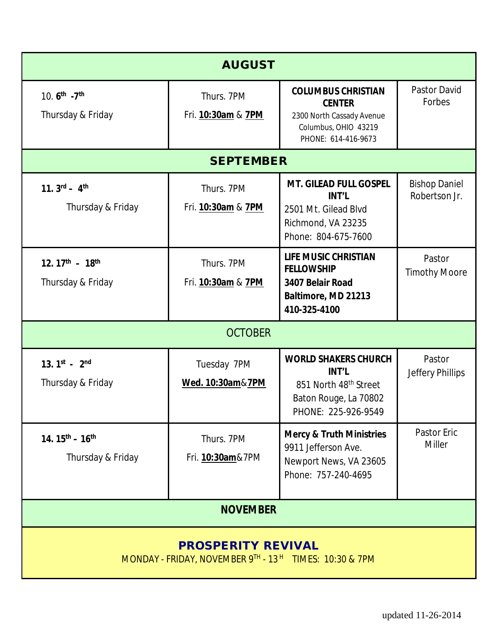| <b>AUGUST</b>                                                                       |                                        |                                                                                                                                  |                                       |  |
|-------------------------------------------------------------------------------------|----------------------------------------|----------------------------------------------------------------------------------------------------------------------------------|---------------------------------------|--|
| 10. 6 <sup>th</sup> -7 <sup>th</sup><br>Thursday & Friday                           | Thurs. 7PM<br>Fri. 10:30am & 7PM       | <b>COLUMBUS CHRISTIAN</b><br><b>CENTER</b><br>2300 North Cassady Avenue<br>Columbus, OHIO 43219<br>PHONE: 614-416-9673           | <b>Pastor David</b><br>Forbes         |  |
|                                                                                     | <b>SEPTEMBER</b>                       |                                                                                                                                  |                                       |  |
| 11. $3^{rd}$ - 4 <sup>th</sup><br>Thursday & Friday                                 | Thurs. 7PM<br>Fri. 10:30am & 7PM       | <b>MT. GILEAD FULL GOSPEL</b><br><b>INT'L</b><br>2501 Mt. Gilead Blvd<br>Richmond, VA 23235<br>Phone: 804-675-7600               | <b>Bishop Daniel</b><br>Robertson Jr. |  |
| 12. $17^{th}$ - 18 <sup>th</sup><br>Thursday & Friday                               | Thurs. 7PM<br>Fri. 10:30am & 7PM       | <b>LIFE MUSIC CHRISTIAN</b><br><b>FELLOWSHIP</b><br>3407 Belair Road<br>Baltimore, MD 21213<br>410-325-4100                      | Pastor<br><b>Timothy Moore</b>        |  |
| <b>OCTOBER</b>                                                                      |                                        |                                                                                                                                  |                                       |  |
| 13. $1^{st}$ - $2^{nd}$<br>Thursday & Friday                                        | Tuesday 7PM<br>Wed. 10:30am&7PM        | <b>WORLD SHAKERS CHURCH</b><br><b>INT'L</b><br>851 North 48 <sup>th</sup> Street<br>Baton Rouge, La 70802<br>PHONE: 225-926-9549 | Pastor<br>Jeffery Phillips            |  |
| 14. $15^{th}$ – $16^{th}$<br>Thursday & Friday                                      | Thurs. 7PM<br>Fri. <b>10:30am</b> &7PM | <b>Mercy &amp; Truth Ministries</b><br>9911 Jefferson Ave.<br>Newport News, VA 23605<br>Phone: 757-240-4695                      | Pastor Eric<br><b>Miller</b>          |  |
| <b>NOVEMBER</b>                                                                     |                                        |                                                                                                                                  |                                       |  |
| <b>PROSPERITY REVIVAL</b><br>MONDAY - FRIDAY, NOVEMBER 9TH - 13H TIMES: 10:30 & 7PM |                                        |                                                                                                                                  |                                       |  |